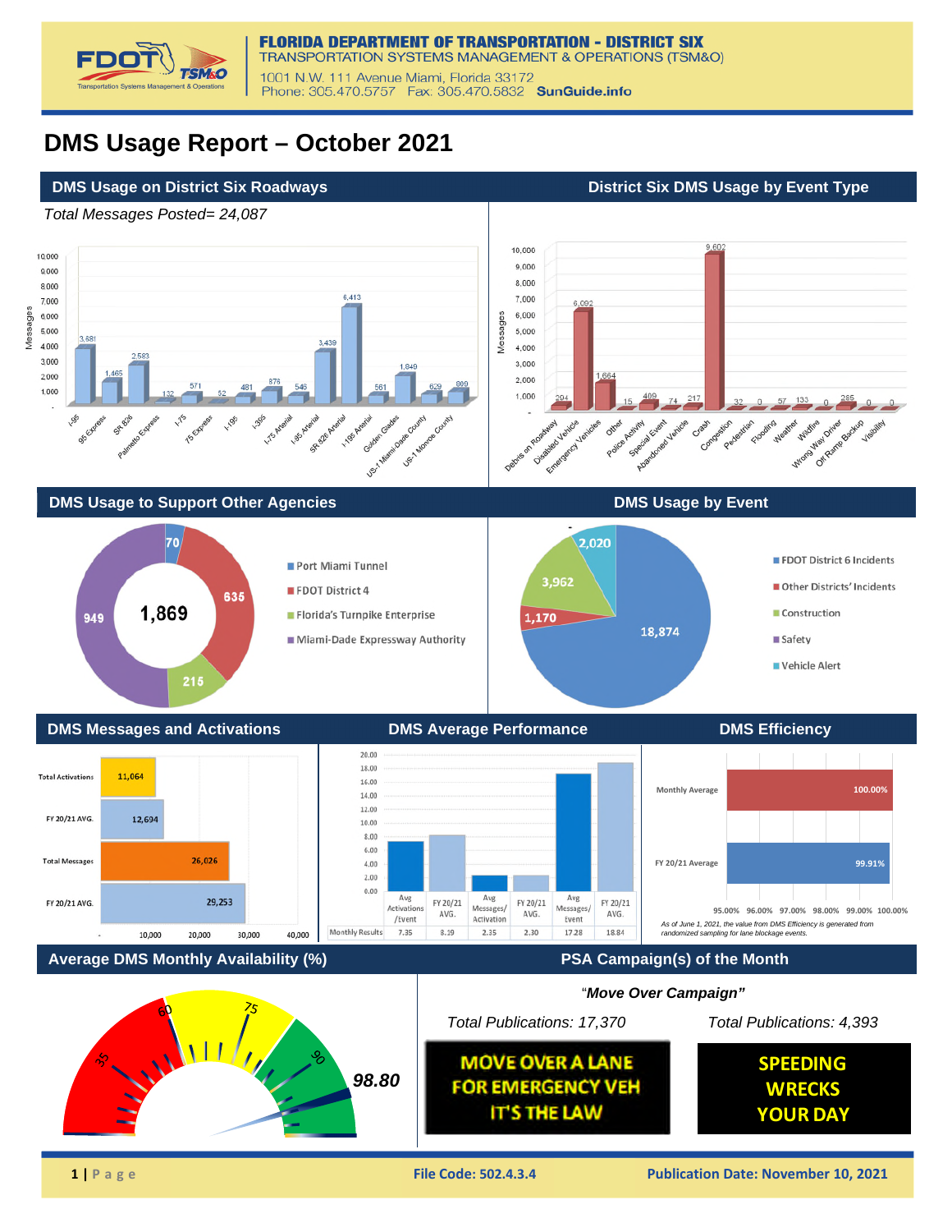

## **DMS Usage Report – October 2021**

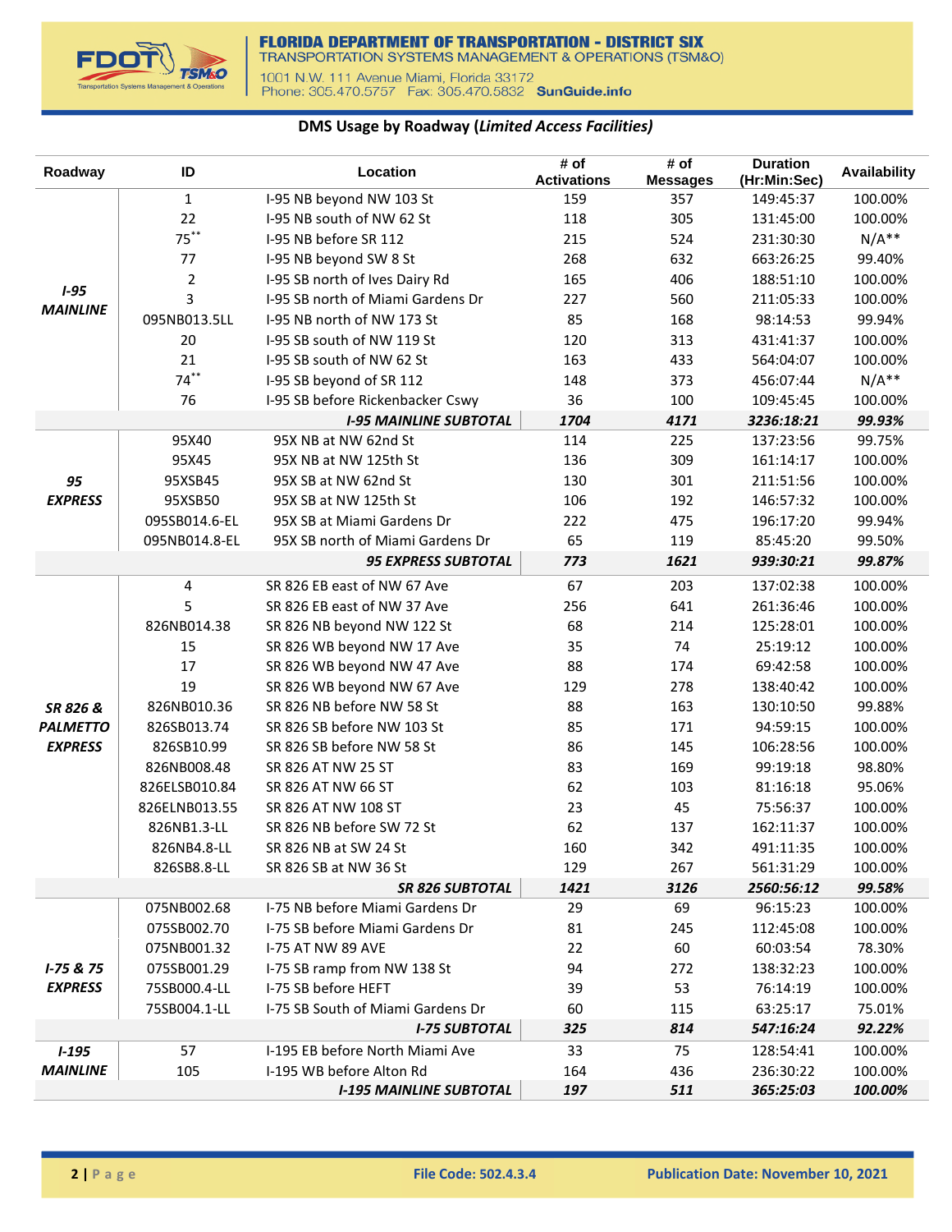

## **DMS Usage by Roadway (***Limited Access Facilities)*

| Roadway         | ID             | Location                          | # of<br><b>Activations</b> | # of<br><b>Messages</b> | <b>Duration</b><br>(Hr:Min:Sec) | Availability |
|-----------------|----------------|-----------------------------------|----------------------------|-------------------------|---------------------------------|--------------|
|                 | $\mathbf{1}$   | I-95 NB beyond NW 103 St          | 159                        | 357                     | 149:45:37                       | 100.00%      |
|                 | 22             | I-95 NB south of NW 62 St         | 118                        | 305                     | 131:45:00                       | 100.00%      |
|                 | $75***$        | I-95 NB before SR 112             | 215                        | 524                     | 231:30:30                       | $N/A**$      |
|                 | 77             | I-95 NB beyond SW 8 St            | 268                        | 632                     | 663:26:25                       | 99.40%       |
|                 | $\overline{2}$ | I-95 SB north of Ives Dairy Rd    | 165                        | 406                     | 188:51:10                       | 100.00%      |
| $1 - 95$        | 3              | I-95 SB north of Miami Gardens Dr | 227                        | 560                     | 211:05:33                       | 100.00%      |
| <b>MAINLINE</b> | 095NB013.5LL   | I-95 NB north of NW 173 St        | 85                         | 168                     | 98:14:53                        | 99.94%       |
|                 | 20             | I-95 SB south of NW 119 St        | 120                        | 313                     | 431:41:37                       | 100.00%      |
|                 | 21             | I-95 SB south of NW 62 St         | 163                        | 433                     | 564:04:07                       | 100.00%      |
|                 | $74***$        | I-95 SB beyond of SR 112          | 148                        | 373                     | 456:07:44                       | $N/A**$      |
|                 | 76             | I-95 SB before Rickenbacker Cswy  | 36                         | 100                     | 109:45:45                       | 100.00%      |
|                 |                | <b>I-95 MAINLINE SUBTOTAL</b>     | 1704                       | 4171                    | 3236:18:21                      | 99.93%       |
|                 | 95X40          | 95X NB at NW 62nd St              | 114                        | 225                     | 137:23:56                       | 99.75%       |
|                 | 95X45          | 95X NB at NW 125th St             | 136                        | 309                     | 161:14:17                       | 100.00%      |
| 95              | 95XSB45        | 95X SB at NW 62nd St              | 130                        | 301                     | 211:51:56                       | 100.00%      |
| <b>EXPRESS</b>  | 95XSB50        | 95X SB at NW 125th St             | 106                        | 192                     | 146:57:32                       | 100.00%      |
|                 | 095SB014.6-EL  | 95X SB at Miami Gardens Dr        | 222                        | 475                     | 196:17:20                       | 99.94%       |
|                 | 095NB014.8-EL  | 95X SB north of Miami Gardens Dr  | 65                         | 119                     | 85:45:20                        | 99.50%       |
|                 |                | <b>95 EXPRESS SUBTOTAL</b>        | 773                        | 1621                    | 939:30:21                       | 99.87%       |
|                 | $\overline{4}$ | SR 826 EB east of NW 67 Ave       | 67                         | 203                     | 137:02:38                       | 100.00%      |
|                 | 5              | SR 826 EB east of NW 37 Ave       | 256                        | 641                     | 261:36:46                       | 100.00%      |
|                 | 826NB014.38    | SR 826 NB beyond NW 122 St        | 68                         | 214                     | 125:28:01                       | 100.00%      |
|                 | 15             | SR 826 WB beyond NW 17 Ave        | 35                         | 74                      | 25:19:12                        | 100.00%      |
|                 | 17             | SR 826 WB beyond NW 47 Ave        | 88                         | 174                     | 69:42:58                        | 100.00%      |
|                 | 19             | SR 826 WB beyond NW 67 Ave        | 129                        | 278                     | 138:40:42                       | 100.00%      |
| SR 826 &        | 826NB010.36    | SR 826 NB before NW 58 St         | 88                         | 163                     | 130:10:50                       | 99.88%       |
| <b>PALMETTO</b> | 826SB013.74    | SR 826 SB before NW 103 St        | 85                         | 171                     | 94:59:15                        | 100.00%      |
| <b>EXPRESS</b>  | 826SB10.99     | SR 826 SB before NW 58 St         | 86                         | 145                     | 106:28:56                       | 100.00%      |
|                 | 826NB008.48    | SR 826 AT NW 25 ST                | 83                         | 169                     | 99:19:18                        | 98.80%       |
|                 | 826ELSB010.84  | SR 826 AT NW 66 ST                | 62                         | 103                     | 81:16:18                        | 95.06%       |
|                 | 826ELNB013.55  | SR 826 AT NW 108 ST               | 23                         | 45                      | 75:56:37                        | 100.00%      |
|                 | 826NB1.3-LL    | SR 826 NB before SW 72 St         | 62                         | 137                     | 162:11:37                       | 100.00%      |
|                 | 826NB4.8-LL    | SR 826 NB at SW 24 St             | 160                        | 342                     | 491:11:35                       | 100.00%      |
|                 | 826SB8.8-LL    | SR 826 SB at NW 36 St             | 129                        | 267                     | 561:31:29                       | 100.00%      |
|                 |                | <b>SR 826 SUBTOTAL</b>            | 1421                       | 3126                    | 2560:56:12                      | 99.58%       |
|                 | 075NB002.68    | I-75 NB before Miami Gardens Dr   | 29                         | 69                      | 96:15:23                        | 100.00%      |
|                 | 075SB002.70    | I-75 SB before Miami Gardens Dr   | 81                         | 245                     | 112:45:08                       | 100.00%      |
|                 | 075NB001.32    | <b>I-75 AT NW 89 AVE</b>          | 22                         | 60                      | 60:03:54                        | 78.30%       |
| $1 - 75 & 75$   | 075SB001.29    | I-75 SB ramp from NW 138 St       | 94                         | 272                     | 138:32:23                       | 100.00%      |
| <b>EXPRESS</b>  | 75SB000.4-LL   | I-75 SB before HEFT               | 39                         | 53                      | 76:14:19                        | 100.00%      |
|                 | 75SB004.1-LL   | I-75 SB South of Miami Gardens Dr | 60                         | 115                     | 63:25:17                        | 75.01%       |
|                 |                | <b>I-75 SUBTOTAL</b>              | 325                        | 814                     | 547:16:24                       | 92.22%       |
| $1 - 195$       | 57             | I-195 EB before North Miami Ave   | 33                         | 75                      | 128:54:41                       | 100.00%      |
| <b>MAINLINE</b> | 105            | I-195 WB before Alton Rd          | 164                        | 436                     | 236:30:22                       | 100.00%      |
|                 |                | <b>I-195 MAINLINE SUBTOTAL</b>    | 197                        | 511                     | 365:25:03                       | 100.00%      |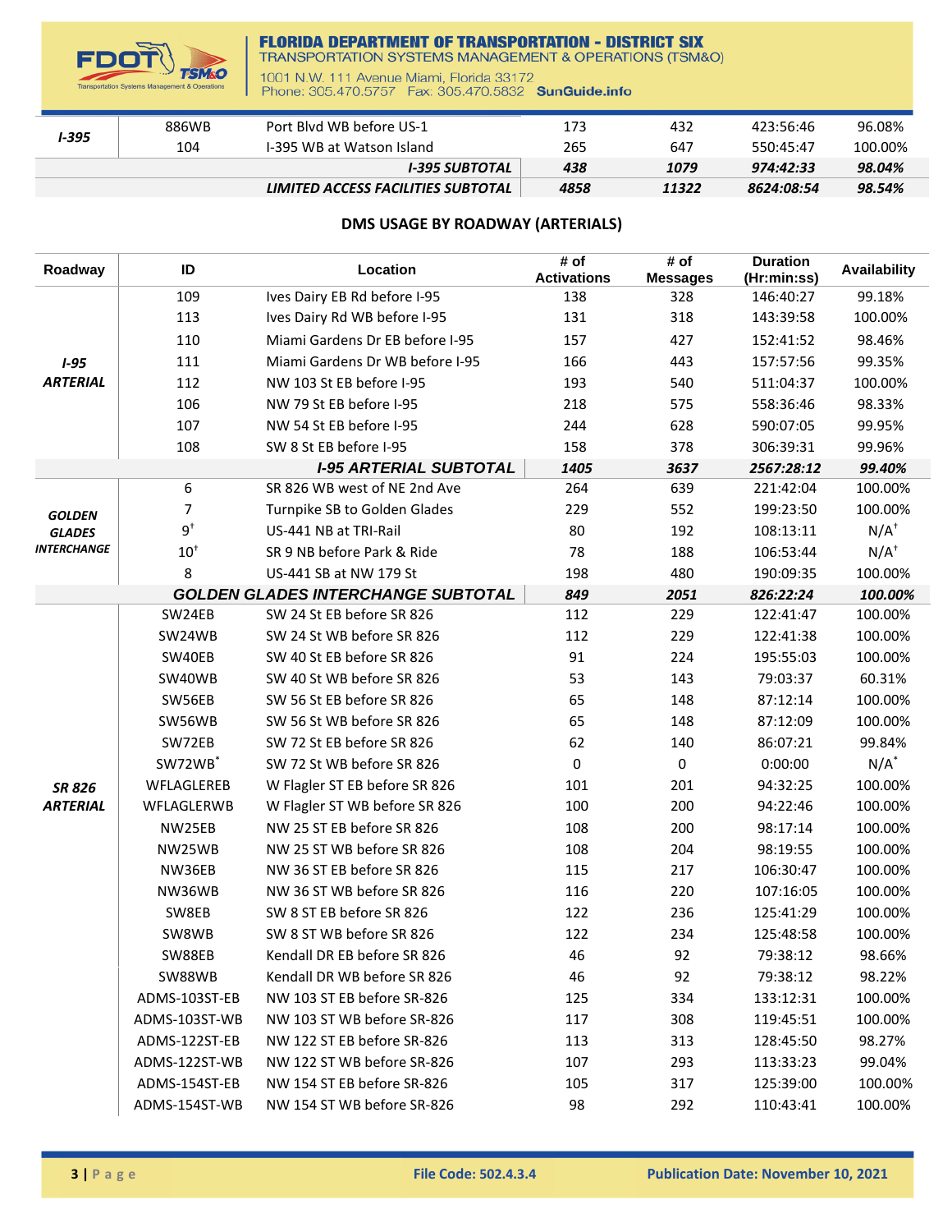

## **FLORIDA DEPARTMENT OF TRANSPORTATION - DISTRICT SIX**<br>TRANSPORTATION SYSTEMS MANAGEMENT & OPERATIONS (TSM&O)

1001 N.W. 111 Avenue Miami, Florida 33172<br>Phone: 305.470.5757 Fax: 305.470.5832 SunGuide.info

| I-395 | 886WB | Port Blyd WB before US-1           | 173  | 432   | 423:56:46  | 96.08%  |
|-------|-------|------------------------------------|------|-------|------------|---------|
|       | 104   | I-395 WB at Watson Island          | 265  | 647   | 550:45:47  | 100.00% |
|       |       | <b>I-395 SUBTOTAL</b>              | 438  | 1079  | 974:42:33  | 98.04%  |
|       |       | LIMITED ACCESS FACILITIES SUBTOTAL | 4858 | 11322 | 8624:08:54 | 98.54%  |

## **DMS USAGE BY ROADWAY (ARTERIALS)**

| Roadway            | ID                  | Location                                  | # of<br><b>Activations</b> | # of<br><b>Messages</b> | <b>Duration</b><br>(Hr:min:ss) | <b>Availability</b> |
|--------------------|---------------------|-------------------------------------------|----------------------------|-------------------------|--------------------------------|---------------------|
|                    | 109                 | Ives Dairy EB Rd before I-95              | 138                        | 328                     | 146:40:27                      | 99.18%              |
|                    | 113                 | Ives Dairy Rd WB before I-95              | 131                        | 318                     | 143:39:58                      | 100.00%             |
|                    | 110                 | Miami Gardens Dr EB before I-95           | 157                        | 427                     | 152:41:52                      | 98.46%              |
| $1 - 95$           | 111                 | Miami Gardens Dr WB before I-95           | 166                        | 443                     | 157:57:56                      | 99.35%              |
| <b>ARTERIAL</b>    | 112                 | NW 103 St EB before I-95                  | 193                        | 540                     | 511:04:37                      | 100.00%             |
|                    | 106                 | NW 79 St EB before I-95                   | 218                        | 575                     | 558:36:46                      | 98.33%              |
|                    | 107                 | NW 54 St EB before I-95                   | 244                        | 628                     | 590:07:05                      | 99.95%              |
|                    | 108                 | SW 8 St EB before I-95                    | 158                        | 378                     | 306:39:31                      | 99.96%              |
|                    |                     | <b>I-95 ARTERIAL SUBTOTAL</b>             | 1405                       | 3637                    | 2567:28:12                     | 99.40%              |
|                    | 6                   | SR 826 WB west of NE 2nd Ave              | 264                        | 639                     | 221:42:04                      | 100.00%             |
| <b>GOLDEN</b>      | 7                   | Turnpike SB to Golden Glades              | 229                        | 552                     | 199:23:50                      | 100.00%             |
| <b>GLADES</b>      | $9^{\dagger}$       | US-441 NB at TRI-Rail                     | 80                         | 192                     | 108:13:11                      | $N/A^{\dagger}$     |
| <b>INTERCHANGE</b> | $10^+$              | SR 9 NB before Park & Ride                | 78                         | 188                     | 106:53:44                      | $N/A^{\dagger}$     |
|                    | 8                   | US-441 SB at NW 179 St                    | 198                        | 480                     | 190:09:35                      | 100.00%             |
|                    |                     | <b>GOLDEN GLADES INTERCHANGE SUBTOTAL</b> | 849                        | 2051                    | 826:22:24                      | 100.00%             |
|                    | SW24EB              | SW 24 St EB before SR 826                 | 112                        | 229                     | 122:41:47                      | 100.00%             |
|                    | SW24WB              | SW 24 St WB before SR 826                 | 112                        | 229                     | 122:41:38                      | 100.00%             |
|                    | SW40EB              | SW 40 St EB before SR 826                 | 91                         | 224                     | 195:55:03                      | 100.00%             |
|                    | SW40WB              | SW 40 St WB before SR 826                 | 53                         | 143                     | 79:03:37                       | 60.31%              |
|                    | SW56EB              | SW 56 St EB before SR 826                 | 65                         | 148                     | 87:12:14                       | 100.00%             |
|                    | SW56WB              | SW 56 St WB before SR 826                 | 65                         | 148                     | 87:12:09                       | 100.00%             |
|                    | SW72EB              | SW 72 St EB before SR 826                 | 62                         | 140                     | 86:07:21                       | 99.84%              |
|                    | SW72WB <sup>*</sup> | SW 72 St WB before SR 826                 | 0                          | 0                       | 0:00:00                        | $N/A^*$             |
| <b>SR 826</b>      | WFLAGLEREB          | W Flagler ST EB before SR 826             | 101                        | 201                     | 94:32:25                       | 100.00%             |
| <b>ARTERIAL</b>    | WFLAGLERWB          | W Flagler ST WB before SR 826             | 100                        | 200                     | 94:22:46                       | 100.00%             |
|                    | NW25EB              | NW 25 ST EB before SR 826                 | 108                        | 200                     | 98:17:14                       | 100.00%             |
|                    | NW25WB              | NW 25 ST WB before SR 826                 | 108                        | 204                     | 98:19:55                       | 100.00%             |
|                    | NW36EB              | NW 36 ST EB before SR 826                 | 115                        | 217                     | 106:30:47                      | 100.00%             |
|                    | NW36WB              | NW 36 ST WB before SR 826                 | 116                        | 220                     | 107:16:05                      | 100.00%             |
|                    | SW8EB               | SW 8 ST EB before SR 826                  | 122                        | 236                     | 125:41:29                      | 100.00%             |
|                    | SW8WB               | SW 8 ST WB before SR 826                  | 122                        | 234                     | 125:48:58                      | 100.00%             |
|                    | SW88EB              | Kendall DR EB before SR 826               | 46                         | 92                      | 79:38:12                       | 98.66%              |
|                    | SW88WB              | Kendall DR WB before SR 826               | 46                         | 92                      | 79:38:12                       | 98.22%              |
|                    | ADMS-103ST-EB       | NW 103 ST EB before SR-826                | 125                        | 334                     | 133:12:31                      | 100.00%             |
|                    | ADMS-103ST-WB       | NW 103 ST WB before SR-826                | 117                        | 308                     | 119:45:51                      | 100.00%             |
|                    | ADMS-122ST-EB       | NW 122 ST EB before SR-826                | 113                        | 313                     | 128:45:50                      | 98.27%              |
|                    | ADMS-122ST-WB       | NW 122 ST WB before SR-826                | 107                        | 293                     | 113:33:23                      | 99.04%              |
|                    | ADMS-154ST-EB       | NW 154 ST EB before SR-826                | 105                        | 317                     | 125:39:00                      | 100.00%             |
|                    | ADMS-154ST-WB       | NW 154 ST WB before SR-826                | 98                         | 292                     | 110:43:41                      | 100.00%             |